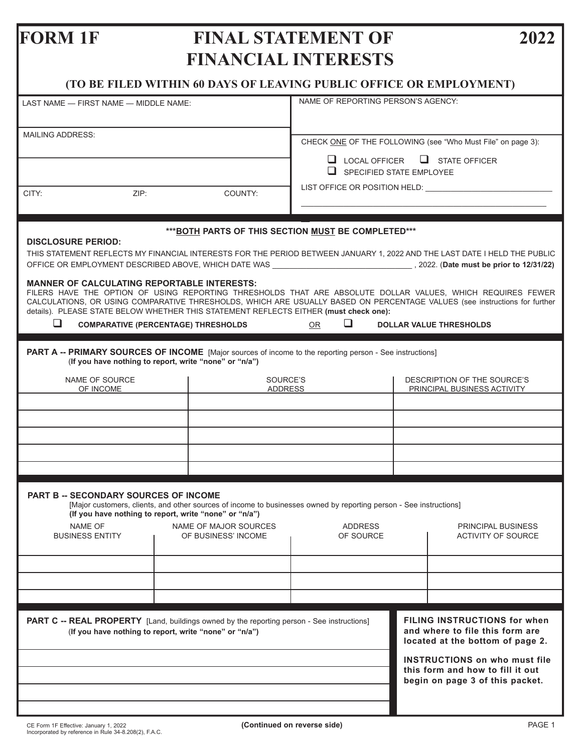# **FORM 1F FINAL STATEMENT OF 2022 FINANCIAL INTERESTS**

**(TO BE FILED WITHIN 60 DAYS OF LEAVING PUBLIC OFFICE OR EMPLOYMENT)**

| LAST NAME - FIRST NAME - MIDDLE NAME:                                                                                                                                                                                                                                                                                                                                                  |                                                                                              | NAME OF REPORTING PERSON'S AGENCY:                          |  |                                                                                                            |  |  |
|----------------------------------------------------------------------------------------------------------------------------------------------------------------------------------------------------------------------------------------------------------------------------------------------------------------------------------------------------------------------------------------|----------------------------------------------------------------------------------------------|-------------------------------------------------------------|--|------------------------------------------------------------------------------------------------------------|--|--|
| <b>MAILING ADDRESS:</b>                                                                                                                                                                                                                                                                                                                                                                |                                                                                              | CHECK ONE OF THE FOLLOWING (see "Who Must File" on page 3): |  |                                                                                                            |  |  |
|                                                                                                                                                                                                                                                                                                                                                                                        |                                                                                              | $\Box$ LOCAL OFFICER<br>$\Box$ SPECIFIED STATE EMPLOYEE     |  | $\Box$ STATE OFFICER                                                                                       |  |  |
| CITY:<br>ZIP:                                                                                                                                                                                                                                                                                                                                                                          |                                                                                              |                                                             |  |                                                                                                            |  |  |
|                                                                                                                                                                                                                                                                                                                                                                                        |                                                                                              |                                                             |  |                                                                                                            |  |  |
| *** BOTH PARTS OF THIS SECTION MUST BE COMPLETED***<br><b>DISCLOSURE PERIOD:</b><br>THIS STATEMENT REFLECTS MY FINANCIAL INTERESTS FOR THE PERIOD BETWEEN JANUARY 1, 2022 AND THE LAST DATE I HELD THE PUBLIC<br>OFFICE OR EMPLOYMENT DESCRIBED ABOVE, WHICH DATE WAS __________________________________, 2022. (Date must be prior to 12/31/22)                                       |                                                                                              |                                                             |  |                                                                                                            |  |  |
| <b>MANNER OF CALCULATING REPORTABLE INTERESTS:</b><br>FILERS HAVE THE OPTION OF USING REPORTING THRESHOLDS THAT ARE ABSOLUTE DOLLAR VALUES, WHICH REQUIRES FEWER<br>CALCULATIONS, OR USING COMPARATIVE THRESHOLDS, WHICH ARE USUALLY BASED ON PERCENTAGE VALUES (see instructions for further<br>details). PLEASE STATE BELOW WHETHER THIS STATEMENT REFLECTS EITHER (must check one): |                                                                                              |                                                             |  |                                                                                                            |  |  |
| $\Box$                                                                                                                                                                                                                                                                                                                                                                                 | $\Box$<br><b>COMPARATIVE (PERCENTAGE) THRESHOLDS</b><br>0R<br><b>DOLLAR VALUE THRESHOLDS</b> |                                                             |  |                                                                                                            |  |  |
| <b>PART A -- PRIMARY SOURCES OF INCOME</b> [Major sources of income to the reporting person - See instructions]<br>(If you have nothing to report, write "none" or "n/a")                                                                                                                                                                                                              |                                                                                              |                                                             |  |                                                                                                            |  |  |
| NAME OF SOURCE<br>OF INCOME                                                                                                                                                                                                                                                                                                                                                            | SOURCE'S<br>ADDRESS                                                                          | DESCRIPTION OF THE SOURCE'S<br>PRINCIPAL BUSINESS ACTIVITY  |  |                                                                                                            |  |  |
|                                                                                                                                                                                                                                                                                                                                                                                        |                                                                                              |                                                             |  |                                                                                                            |  |  |
|                                                                                                                                                                                                                                                                                                                                                                                        |                                                                                              |                                                             |  |                                                                                                            |  |  |
|                                                                                                                                                                                                                                                                                                                                                                                        |                                                                                              |                                                             |  |                                                                                                            |  |  |
|                                                                                                                                                                                                                                                                                                                                                                                        |                                                                                              |                                                             |  |                                                                                                            |  |  |
|                                                                                                                                                                                                                                                                                                                                                                                        |                                                                                              |                                                             |  |                                                                                                            |  |  |
| <b>PART B -- SECONDARY SOURCES OF INCOME</b><br>[Major customers, clients, and other sources of income to businesses owned by reporting person - See instructions]<br>(If you have nothing to report, write "none" or "n/a")                                                                                                                                                           |                                                                                              |                                                             |  |                                                                                                            |  |  |
| NAME OF<br><b>BUSINESS ENTITY</b>                                                                                                                                                                                                                                                                                                                                                      | NAME OF MAJOR SOURCES<br>OF BUSINESS' INCOME                                                 | <b>ADDRESS</b><br>OF SOURCE                                 |  | <b>PRINCIPAL BUSINESS</b><br>ACTIVITY OF SOURCE                                                            |  |  |
|                                                                                                                                                                                                                                                                                                                                                                                        |                                                                                              |                                                             |  |                                                                                                            |  |  |
|                                                                                                                                                                                                                                                                                                                                                                                        |                                                                                              |                                                             |  |                                                                                                            |  |  |
|                                                                                                                                                                                                                                                                                                                                                                                        |                                                                                              |                                                             |  |                                                                                                            |  |  |
| PART C -- REAL PROPERTY [Land, buildings owned by the reporting person - See instructions]<br>(If you have nothing to report, write "none" or "n/a")                                                                                                                                                                                                                                   |                                                                                              |                                                             |  | <b>FILING INSTRUCTIONS for when</b><br>and where to file this form are<br>located at the bottom of page 2. |  |  |
|                                                                                                                                                                                                                                                                                                                                                                                        |                                                                                              |                                                             |  | <b>INSTRUCTIONS on who must file</b><br>this form and how to fill it out                                   |  |  |
|                                                                                                                                                                                                                                                                                                                                                                                        |                                                                                              |                                                             |  | begin on page 3 of this packet.                                                                            |  |  |
|                                                                                                                                                                                                                                                                                                                                                                                        |                                                                                              |                                                             |  |                                                                                                            |  |  |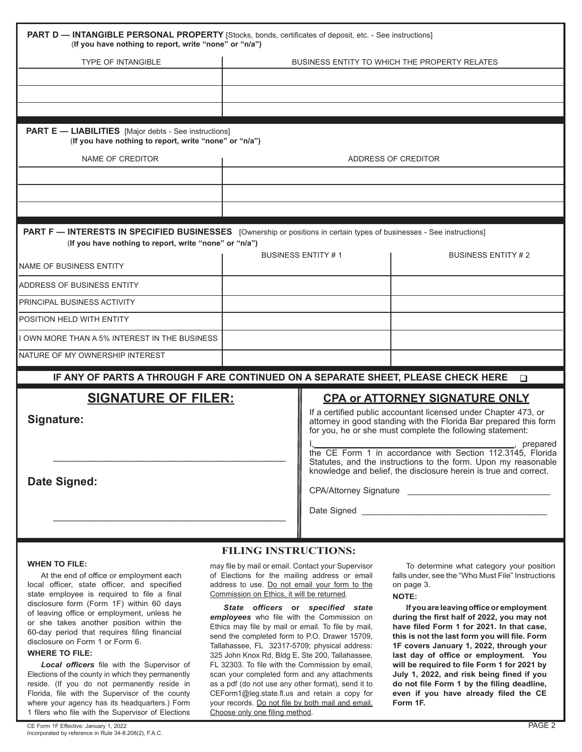| <b>PART D - INTANGIBLE PERSONAL PROPERTY</b> [Stocks, bonds, certificates of deposit, etc. - See instructions]<br>(If you have nothing to report, write "none" or "n/a")        |                                                                                                                                                                                                                                   |                                                                                                                                                                                                                                                                                                                                                                                           |                                                                                                                                  |  |  |
|---------------------------------------------------------------------------------------------------------------------------------------------------------------------------------|-----------------------------------------------------------------------------------------------------------------------------------------------------------------------------------------------------------------------------------|-------------------------------------------------------------------------------------------------------------------------------------------------------------------------------------------------------------------------------------------------------------------------------------------------------------------------------------------------------------------------------------------|----------------------------------------------------------------------------------------------------------------------------------|--|--|
| <b>TYPE OF INTANGIBLE</b>                                                                                                                                                       | BUSINESS ENTITY TO WHICH THE PROPERTY RELATES                                                                                                                                                                                     |                                                                                                                                                                                                                                                                                                                                                                                           |                                                                                                                                  |  |  |
|                                                                                                                                                                                 |                                                                                                                                                                                                                                   |                                                                                                                                                                                                                                                                                                                                                                                           |                                                                                                                                  |  |  |
|                                                                                                                                                                                 |                                                                                                                                                                                                                                   |                                                                                                                                                                                                                                                                                                                                                                                           |                                                                                                                                  |  |  |
|                                                                                                                                                                                 |                                                                                                                                                                                                                                   |                                                                                                                                                                                                                                                                                                                                                                                           |                                                                                                                                  |  |  |
| <b>PART E — LIABILITIES</b> [Major debts - See instructions]<br>(If you have nothing to report, write "none" or "n/a")                                                          |                                                                                                                                                                                                                                   |                                                                                                                                                                                                                                                                                                                                                                                           |                                                                                                                                  |  |  |
| NAME OF CREDITOR                                                                                                                                                                |                                                                                                                                                                                                                                   |                                                                                                                                                                                                                                                                                                                                                                                           | ADDRESS OF CREDITOR                                                                                                              |  |  |
|                                                                                                                                                                                 |                                                                                                                                                                                                                                   |                                                                                                                                                                                                                                                                                                                                                                                           |                                                                                                                                  |  |  |
|                                                                                                                                                                                 |                                                                                                                                                                                                                                   |                                                                                                                                                                                                                                                                                                                                                                                           |                                                                                                                                  |  |  |
|                                                                                                                                                                                 |                                                                                                                                                                                                                                   |                                                                                                                                                                                                                                                                                                                                                                                           |                                                                                                                                  |  |  |
| PART F - INTERESTS IN SPECIFIED BUSINESSES [Ownership or positions in certain types of businesses - See instructions]<br>(If you have nothing to report, write "none" or "n/a") |                                                                                                                                                                                                                                   |                                                                                                                                                                                                                                                                                                                                                                                           |                                                                                                                                  |  |  |
| <b>NAME OF BUSINESS ENTITY</b>                                                                                                                                                  |                                                                                                                                                                                                                                   | <b>BUSINESS ENTITY #1</b>                                                                                                                                                                                                                                                                                                                                                                 | <b>BUSINESS ENTITY #2</b>                                                                                                        |  |  |
| ADDRESS OF BUSINESS ENTITY                                                                                                                                                      |                                                                                                                                                                                                                                   |                                                                                                                                                                                                                                                                                                                                                                                           |                                                                                                                                  |  |  |
| PRINCIPAL BUSINESS ACTIVITY                                                                                                                                                     |                                                                                                                                                                                                                                   |                                                                                                                                                                                                                                                                                                                                                                                           |                                                                                                                                  |  |  |
| POSITION HELD WITH ENTITY                                                                                                                                                       |                                                                                                                                                                                                                                   |                                                                                                                                                                                                                                                                                                                                                                                           |                                                                                                                                  |  |  |
| OWN MORE THAN A 5% INTEREST IN THE BUSINESS                                                                                                                                     |                                                                                                                                                                                                                                   |                                                                                                                                                                                                                                                                                                                                                                                           |                                                                                                                                  |  |  |
| NATURE OF MY OWNERSHIP INTEREST                                                                                                                                                 |                                                                                                                                                                                                                                   |                                                                                                                                                                                                                                                                                                                                                                                           |                                                                                                                                  |  |  |
| IF ANY OF PARTS A THROUGH F ARE CONTINUED ON A SEPARATE SHEET, PLEASE CHECK HERE                                                                                                |                                                                                                                                                                                                                                   |                                                                                                                                                                                                                                                                                                                                                                                           | $\Box$                                                                                                                           |  |  |
| <b>SIGNATURE OF FILER:</b><br>Signature:                                                                                                                                        |                                                                                                                                                                                                                                   | <b>CPA or ATTORNEY SIGNATURE ONLY</b><br>If a certified public accountant licensed under Chapter 473, or<br>attorney in good standing with the Florida Bar prepared this form<br>for you, he or she must complete the following statement:<br>I, prepared<br>the CE Form 1 in accordance with Section 112.3145, Florida                                                                   |                                                                                                                                  |  |  |
| Date Signed:                                                                                                                                                                    |                                                                                                                                                                                                                                   | Statutes, and the instructions to the form. Upon my reasonable<br>knowledge and belief, the disclosure herein is true and correct.<br>Date Signed<br><u> 1989 - Johann John Stein, mars et al. 1989 - Anna ann an t-Anna ann an t-Anna ann an t-Anna ann an t-Anna ann an t-Anna ann an t-Anna ann an t-Anna ann an t-Anna ann an t-Anna ann an t-Anna ann an t-Anna ann an t-Anna an</u> |                                                                                                                                  |  |  |
| <b>WHEN TO FILE:</b><br>At the end of office or employment each<br>local officer, state officer, and specified<br>state employee is required to file a final                    | <b>FILING INSTRUCTIONS:</b><br>may file by mail or email. Contact your Supervisor<br>of Elections for the mailing address or email<br>address to use. Do not email your form to the<br>Commission on Ethics, it will be returned. |                                                                                                                                                                                                                                                                                                                                                                                           | To determine what category your position<br>falls under, see the "Who Must File" Instructions<br>on page 3.<br>NOTF <sup>.</sup> |  |  |

 *State officers* **or** *specified state employees* who file with the Commission on Ethics may file by mail or email. To file by mail, send the completed form to P.O. Drawer 15709, Tallahassee, FL 32317-5709; physical address: 325 John Knox Rd, Bldg E, Ste 200, Tallahassee, FL 32303. To file with the Commission by email, scan your completed form and any attachments as a pdf (do not use any other format), send it to CEForm1@leg.state.fl.us and retain a copy for your records. Do not file by both mail and email. Choose only one filing method.

**NOTE:**

**If you are leaving office or employment during the first half of 2022, you may not have filed Form 1 for 2021. In that case, this is not the last form you will file. Form 1F covers January 1, 2022, through your last day of office or employment. You will be required to file Form 1 for 2021 by July 1, 2022, and risk being fined if you do not file Form 1 by the filing deadline, even if you have already filed the CE Form 1F.**

state employee is required to file a final disclosure form (Form 1F) within 60 days of leaving office or employment, unless he or she takes another position within the 60-day period that requires filing financial disclosure on Form 1 or Form 6.

#### **WHERE TO FILE:**

 *Local officers* file with the Supervisor of Elections of the county in which they permanently reside. (If you do not permanently reside in Florida, file with the Supervisor of the county where your agency has its headquarters.) Form 1 filers who file with the Supervisor of Elections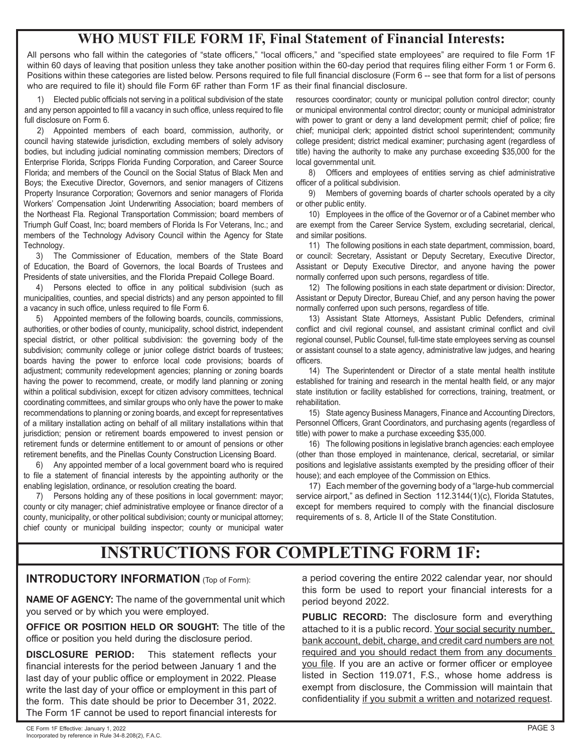## **WHO MUST FILE FORM 1F, Final Statement of Financial Interests:**

All persons who fall within the categories of "state officers," "local officers," and "specified state employees" are required to file Form 1F within 60 days of leaving that position unless they take another position within the 60-day period that requires filing either Form 1 or Form 6. Positions within these categories are listed below. Persons required to file full financial disclosure (Form 6 -- see that form for a list of persons who are required to file it) should file Form 6F rather than Form 1F as their final financial disclosure.

1) Elected public officials not serving in a political subdivision of the state and any person appointed to fill a vacancy in such office, unless required to file full disclosure on Form 6.

2) Appointed members of each board, commission, authority, or council having statewide jurisdiction, excluding members of solely advisory bodies, but including judicial nominating commission members; Directors of Enterprise Florida, Scripps Florida Funding Corporation, and Career Source Florida; and members of the Council on the Social Status of Black Men and Boys; the Executive Director, Governors, and senior managers of Citizens Property Insurance Corporation; Governors and senior managers of Florida Workers' Compensation Joint Underwriting Association; board members of the Northeast Fla. Regional Transportation Commission; board members of Triumph Gulf Coast, Inc; board members of Florida Is For Veterans, Inc.; and members of the Technology Advisory Council within the Agency for State Technology.

3) The Commissioner of Education, members of the State Board of Education, the Board of Governors, the local Boards of Trustees and Presidents of state universities, and the Florida Prepaid College Board.

4) Persons elected to office in any political subdivision (such as municipalities, counties, and special districts) and any person appointed to fill a vacancy in such office, unless required to file Form 6.

5) Appointed members of the following boards, councils, commissions, authorities, or other bodies of county, municipality, school district, independent special district, or other political subdivision: the governing body of the subdivision; community college or junior college district boards of trustees; boards having the power to enforce local code provisions; boards of adjustment; community redevelopment agencies; planning or zoning boards having the power to recommend, create, or modify land planning or zoning within a political subdivision, except for citizen advisory committees, technical coordinating committees, and similar groups who only have the power to make recommendations to planning or zoning boards, and except for representatives of a military installation acting on behalf of all military installations within that jurisdiction; pension or retirement boards empowered to invest pension or retirement funds or determine entitlement to or amount of pensions or other retirement benefits, and the Pinellas County Construction Licensing Board.

6) Any appointed member of a local government board who is required to file a statement of financial interests by the appointing authority or the enabling legislation, ordinance, or resolution creating the board.

 7) Persons holding any of these positions in local government: mayor; county or city manager; chief administrative employee or finance director of a county, municipality, or other political subdivision; county or municipal attorney; chief county or municipal building inspector; county or municipal water resources coordinator; county or municipal pollution control director; county or municipal environmental control director; county or municipal administrator with power to grant or deny a land development permit; chief of police; fire chief; municipal clerk; appointed district school superintendent; community college president; district medical examiner; purchasing agent (regardless of title) having the authority to make any purchase exceeding \$35,000 for the local governmental unit.

8) Officers and employees of entities serving as chief administrative officer of a political subdivision.

9) Members of governing boards of charter schools operated by a city or other public entity.

10) Employees in the office of the Governor or of a Cabinet member who are exempt from the Career Service System, excluding secretarial, clerical, and similar positions.

11) The following positions in each state department, commission, board, or council: Secretary, Assistant or Deputy Secretary, Executive Director, Assistant or Deputy Executive Director, and anyone having the power normally conferred upon such persons, regardless of title.

12) The following positions in each state department or division: Director, Assistant or Deputy Director, Bureau Chief, and any person having the power normally conferred upon such persons, regardless of title.

13) Assistant State Attorneys, Assistant Public Defenders, criminal conflict and civil regional counsel, and assistant criminal conflict and civil regional counsel, Public Counsel, full-time state employees serving as counsel or assistant counsel to a state agency, administrative law judges, and hearing officers.

14) The Superintendent or Director of a state mental health institute established for training and research in the mental health field, or any major state institution or facility established for corrections, training, treatment, or rehabilitation.

15) State agency Business Managers, Finance and Accounting Directors, Personnel Officers, Grant Coordinators, and purchasing agents (regardless of title) with power to make a purchase exceeding \$35,000.

16) The following positions in legislative branch agencies: each employee (other than those employed in maintenance, clerical, secretarial, or similar positions and legislative assistants exempted by the presiding officer of their house); and each employee of the Commission on Ethics.

17) Each member of the governing body of a "large-hub commercial service airport," as defined in Section 112.3144(1)(c), Florida Statutes, except for members required to comply with the financial disclosure requirements of s. 8, Article II of the State Constitution.

# **INSTRUCTIONS FOR COMPLETING FORM 1F:**

### **INTRODUCTORY INFORMATION** (Top of Form):

**NAME OF AGENCY:** The name of the governmental unit which you served or by which you were employed.

**OFFICE OR POSITION HELD OR SOUGHT:** The title of the office or position you held during the disclosure period.

**DISCLOSURE PERIOD:** This statement reflects your financial interests for the period between January 1 and the last day of your public office or employment in 2022. Please write the last day of your office or employment in this part of the form. This date should be prior to December 31, 2022. The Form 1F cannot be used to report financial interests for

CE Form 1F Effective: January 1, 2022 PAGE 3 Incorporated by reference in Rule 34-8.208(2), F.A.C.

a period covering the entire 2022 calendar year, nor should this form be used to report your financial interests for a period beyond 2022.

**PUBLIC RECORD:** The disclosure form and everything attached to it is a public record. Your social security number, bank account, debit, charge, and credit card numbers are not required and you should redact them from any documents you file. If you are an active or former officer or employee listed in Section 119.071, F.S., whose home address is exempt from disclosure, the Commission will maintain that confidentiality if you submit a written and notarized request.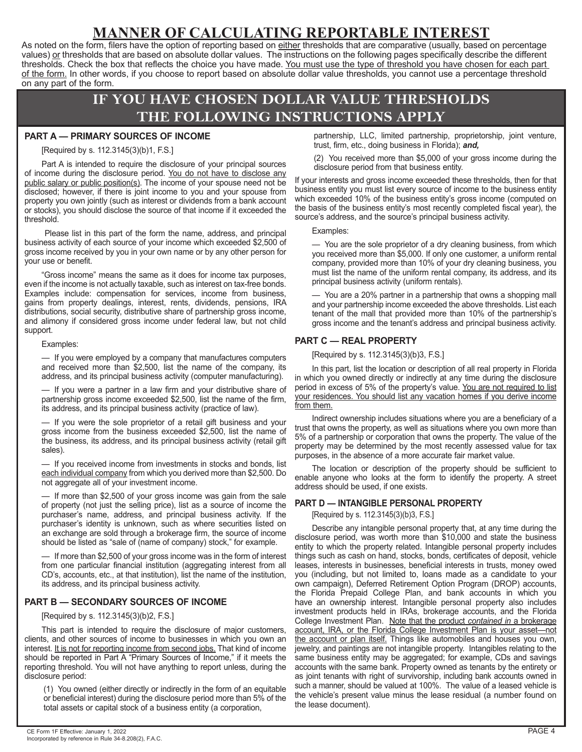# **MANNER OF CALCULATING REPORTABLE INTEREST**

As noted on the form, filers have the option of reporting based on either thresholds that are comparative (usually, based on percentage values) or thresholds that are based on absolute dollar values. The instructions on the following pages specifically describe the different thresholds. Check the box that reflects the choice you have made. You must use the type of threshold you have chosen for each part of the form. In other words, if you choose to report based on absolute dollar value thresholds, you cannot use a percentage threshold on any part of the form.

### **IF YOU HAVE CHOSEN DOLLAR VALUE THRESHOLDS THE FOLLOWING INSTRUCTIONS APPLY**

#### **PART A — PRIMARY SOURCES OF INCOME**

[Required by s. 112.3145(3)(b)1, F.S.]

Part A is intended to require the disclosure of your principal sources of income during the disclosure period. You do not have to disclose any public salary or public position(s). The income of your spouse need not be disclosed; however, if there is joint income to you and your spouse from property you own jointly (such as interest or dividends from a bank account or stocks), you should disclose the source of that income if it exceeded the threshold.

 Please list in this part of the form the name, address, and principal business activity of each source of your income which exceeded \$2,500 of gross income received by you in your own name or by any other person for your use or benefit.

"Gross income" means the same as it does for income tax purposes, even if the income is not actually taxable, such as interest on tax-free bonds. Examples include: compensation for services, income from business, gains from property dealings, interest, rents, dividends, pensions, IRA distributions, social security, distributive share of partnership gross income, and alimony if considered gross income under federal law, but not child support.

#### Examples:

— If you were employed by a company that manufactures computers and received more than \$2,500, list the name of the company, its address, and its principal business activity (computer manufacturing).

— If you were a partner in a law firm and your distributive share of partnership gross income exceeded \$2,500, list the name of the firm, its address, and its principal business activity (practice of law).

— If you were the sole proprietor of a retail gift business and your gross income from the business exceeded \$2,500, list the name of the business, its address, and its principal business activity (retail gift sales).

— If you received income from investments in stocks and bonds, list each individual company from which you derived more than \$2,500. Do not aggregate all of your investment income.

— If more than \$2,500 of your gross income was gain from the sale of property (not just the selling price), list as a source of income the purchaser's name, address, and principal business activity. If the purchaser's identity is unknown, such as where securities listed on an exchange are sold through a brokerage firm, the source of income should be listed as "sale of (name of company) stock," for example.

— If more than \$2,500 of your gross income was in the form of interest from one particular financial institution (aggregating interest from all CD's, accounts, etc., at that institution), list the name of the institution, its address, and its principal business activity.

#### **PART B — SECONDARY SOURCES OF INCOME**

[Required by s. 112.3145(3)(b)2, F.S.]

This part is intended to require the disclosure of major customers, clients, and other sources of income to businesses in which you own an interest. It is not for reporting income from second jobs. That kind of income should be reported in Part A "Primary Sources of Income," if it meets the reporting threshold. You will not have anything to report unless, during the disclosure period:

(1) You owned (either directly or indirectly in the form of an equitable or beneficial interest) during the disclosure period more than 5% of the total assets or capital stock of a business entity (a corporation,

partnership, LLC, limited partnership, proprietorship, joint venture, trust, firm, etc., doing business in Florida); *and,*

(2) You received more than \$5,000 of your gross income during the disclosure period from that business entity.

If your interests and gross income exceeded these thresholds, then for that business entity you must list every source of income to the business entity which exceeded 10% of the business entity's gross income (computed on the basis of the business entity's most recently completed fiscal year), the source's address, and the source's principal business activity.

Examples:

— You are the sole proprietor of a dry cleaning business, from which you received more than \$5,000. If only one customer, a uniform rental company, provided more than 10% of your dry cleaning business, you must list the name of the uniform rental company, its address, and its principal business activity (uniform rentals).

— You are a 20% partner in a partnership that owns a shopping mall and your partnership income exceeded the above thresholds. List each tenant of the mall that provided more than 10% of the partnership's gross income and the tenant's address and principal business activity.

#### **PART C — REAL PROPERTY**

[Required by s. 112.3145(3)(b)3, F.S.]

In this part, list the location or description of all real property in Florida in which you owned directly or indirectly at any time during the disclosure period in excess of 5% of the property's value. You are not required to list your residences. You should list any vacation homes if you derive income from them.

Indirect ownership includes situations where you are a beneficiary of a trust that owns the property, as well as situations where you own more than 5% of a partnership or corporation that owns the property. The value of the property may be determined by the most recently assessed value for tax purposes, in the absence of a more accurate fair market value.

The location or description of the property should be sufficient to enable anyone who looks at the form to identify the property. A street address should be used, if one exists.

#### **PART D — INTANGIBLE PERSONAL PROPERTY**

[Required by s. 112.3145(3)(b)3, F.S.]

Describe any intangible personal property that, at any time during the disclosure period, was worth more than \$10,000 and state the business entity to which the property related. Intangible personal property includes things such as cash on hand, stocks, bonds, certificates of deposit, vehicle leases, interests in businesses, beneficial interests in trusts, money owed you (including, but not limited to, loans made as a candidate to your own campaign), Deferred Retirement Option Program (DROP) accounts, the Florida Prepaid College Plan, and bank accounts in which you have an ownership interest. Intangible personal property also includes investment products held in IRAs, brokerage accounts, and the Florida College Investment Plan. Note that the product *contained in* a brokerage account, IRA, or the Florida College Investment Plan is your asset—not the account or plan itself. Things like automobiles and houses you own, jewelry, and paintings are not intangible property. Intangibles relating to the same business entity may be aggregated; for example, CDs and savings accounts with the same bank. Property owned as tenants by the entirety or as joint tenants with right of survivorship, including bank accounts owned in such a manner, should be valued at 100%. The value of a leased vehicle is the vehicle's present value minus the lease residual (a number found on the lease document).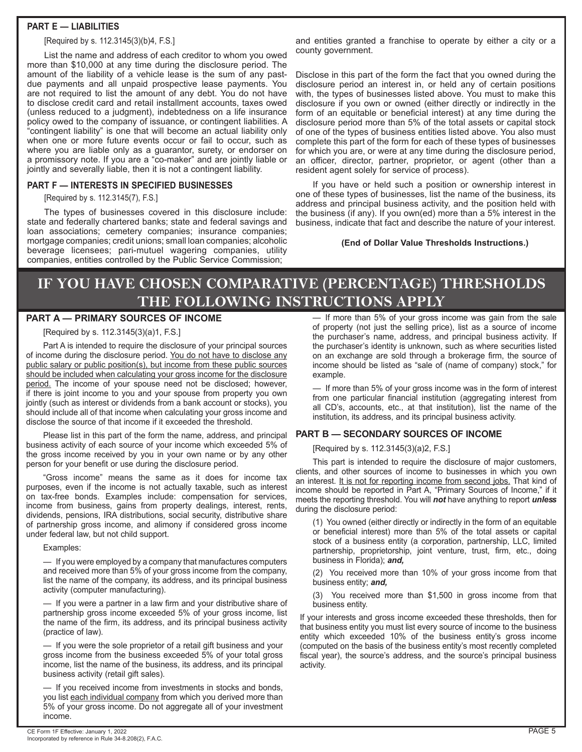#### **PART E — LIABILITIES**

[Required by s. 112.3145(3)(b)4, F.S.]

List the name and address of each creditor to whom you owed more than \$10,000 at any time during the disclosure period. The amount of the liability of a vehicle lease is the sum of any pastdue payments and all unpaid prospective lease payments. You are not required to list the amount of any debt. You do not have to disclose credit card and retail installment accounts, taxes owed (unless reduced to a judgment), indebtedness on a life insurance policy owed to the company of issuance, or contingent liabilities. A "contingent liability" is one that will become an actual liability only when one or more future events occur or fail to occur, such as where you are liable only as a guarantor, surety, or endorser on a promissory note. If you are a "co-maker" and are jointly liable or jointly and severally liable, then it is not a contingent liability.

#### **PART F — INTERESTS IN SPECIFIED BUSINESSES**

[Required by s. 112.3145(7), F.S.]

The types of businesses covered in this disclosure include: state and federally chartered banks; state and federal savings and loan associations; cemetery companies; insurance companies; mortgage companies; credit unions; small loan companies; alcoholic beverage licensees; pari-mutuel wagering companies, utility companies, entities controlled by the Public Service Commission;

and entities granted a franchise to operate by either a city or a county government.

Disclose in this part of the form the fact that you owned during the disclosure period an interest in, or held any of certain positions with, the types of businesses listed above. You must to make this disclosure if you own or owned (either directly or indirectly in the form of an equitable or beneficial interest) at any time during the disclosure period more than 5% of the total assets or capital stock of one of the types of business entities listed above. You also must complete this part of the form for each of these types of businesses for which you are, or were at any time during the disclosure period, an officer, director, partner, proprietor, or agent (other than a resident agent solely for service of process).

If you have or held such a position or ownership interest in one of these types of businesses, list the name of the business, its address and principal business activity, and the position held with the business (if any). If you own(ed) more than a 5% interest in the business, indicate that fact and describe the nature of your interest.

**(End of Dollar Value Thresholds Instructions.)**

# **IF YOU HAVE CHOSEN COMPARATIVE (PERCENTAGE) THRESHOLDS THE FOLLOWING INSTRUCTIONS APPLY**

#### **PART A — PRIMARY SOURCES OF INCOME**

[Required by s. 112.3145(3)(a)1, F.S.]

Part A is intended to require the disclosure of your principal sources of income during the disclosure period. You do not have to disclose any public salary or public position(s), but income from these public sources should be included when calculating your gross income for the disclosure period. The income of your spouse need not be disclosed; however, if there is joint income to you and your spouse from property you own jointly (such as interest or dividends from a bank account or stocks), you should include all of that income when calculating your gross income and disclose the source of that income if it exceeded the threshold.

Please list in this part of the form the name, address, and principal business activity of each source of your income which exceeded 5% of the gross income received by you in your own name or by any other person for your benefit or use during the disclosure period.

"Gross income" means the same as it does for income tax purposes, even if the income is not actually taxable, such as interest on tax-free bonds. Examples include: compensation for services, income from business, gains from property dealings, interest, rents, dividends, pensions, IRA distributions, social security, distributive share of partnership gross income, and alimony if considered gross income under federal law, but not child support.

Examples:

— If you were employed by a company that manufactures computers and received more than 5% of your gross income from the company, list the name of the company, its address, and its principal business activity (computer manufacturing).

— If you were a partner in a law firm and your distributive share of partnership gross income exceeded 5% of your gross income, list the name of the firm, its address, and its principal business activity (practice of law).

— If you were the sole proprietor of a retail gift business and your gross income from the business exceeded 5% of your total gross income, list the name of the business, its address, and its principal business activity (retail gift sales).

— If you received income from investments in stocks and bonds, you list each individual company from which you derived more than 5% of your gross income. Do not aggregate all of your investment income.

— If more than 5% of your gross income was gain from the sale of property (not just the selling price), list as a source of income the purchaser's name, address, and principal business activity. If the purchaser's identity is unknown, such as where securities listed on an exchange are sold through a brokerage firm, the source of income should be listed as "sale of (name of company) stock," for example.

— If more than 5% of your gross income was in the form of interest from one particular financial institution (aggregating interest from all CD's, accounts, etc., at that institution), list the name of the institution, its address, and its principal business activity.

#### **PART B — SECONDARY SOURCES OF INCOME**

[Required by s. 112.3145(3)(a)2, F.S.]

This part is intended to require the disclosure of major customers, clients, and other sources of income to businesses in which you own an interest. It is not for reporting income from second jobs. That kind of income should be reported in Part A, "Primary Sources of Income," if it meets the reporting threshold. You will *not* have anything to report *unless* during the disclosure period:

(1) You owned (either directly or indirectly in the form of an equitable or beneficial interest) more than 5% of the total assets or capital stock of a business entity (a corporation, partnership, LLC, limited partnership, proprietorship, joint venture, trust, firm, etc., doing business in Florida); *and,*

(2) You received more than 10% of your gross income from that business entity; *and,*

(3) You received more than \$1,500 in gross income from that business entity.

If your interests and gross income exceeded these thresholds, then for that business entity you must list every source of income to the business entity which exceeded 10% of the business entity's gross income (computed on the basis of the business entity's most recently completed fiscal year), the source's address, and the source's principal business activity.